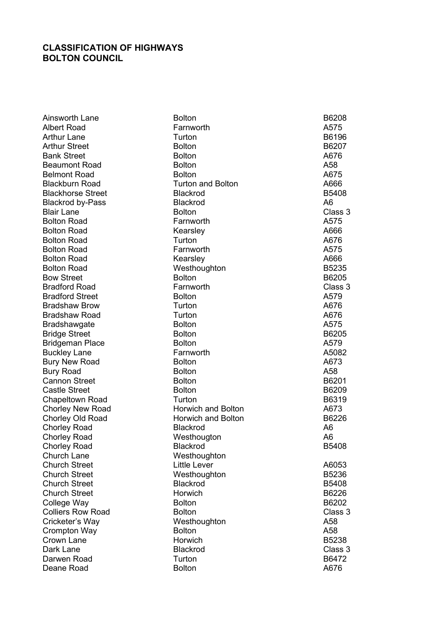## CLASSIFICATION OF HIGHWAYS BOLTON COUNCIL

| Ainsworth Lane           | <b>Bolton</b>             | B6208          |
|--------------------------|---------------------------|----------------|
| <b>Albert Road</b>       | Farnworth                 | A575           |
| <b>Arthur Lane</b>       | Turton                    | B6196          |
| <b>Arthur Street</b>     | <b>Bolton</b>             | B6207          |
| <b>Bank Street</b>       | <b>Bolton</b>             | A676           |
| <b>Beaumont Road</b>     | <b>Bolton</b>             | A58            |
| <b>Belmont Road</b>      | <b>Bolton</b>             | A675           |
| <b>Blackburn Road</b>    | <b>Turton and Bolton</b>  | A666           |
| <b>Blackhorse Street</b> | <b>Blackrod</b>           | B5408          |
| <b>Blackrod by-Pass</b>  | <b>Blackrod</b>           | A <sub>6</sub> |
| <b>Blair Lane</b>        | <b>Bolton</b>             | Class 3        |
| <b>Bolton Road</b>       | Farnworth                 | A575           |
| <b>Bolton Road</b>       | Kearsley                  | A666           |
| <b>Bolton Road</b>       | Turton                    | A676           |
| <b>Bolton Road</b>       | Farnworth                 | A575           |
| <b>Bolton Road</b>       | Kearsley                  | A666           |
| <b>Bolton Road</b>       | Westhoughton              | B5235          |
| <b>Bow Street</b>        | <b>Bolton</b>             | B6205          |
| <b>Bradford Road</b>     | Farnworth                 | Class 3        |
| <b>Bradford Street</b>   | <b>Bolton</b>             | A579           |
| <b>Bradshaw Brow</b>     | Turton                    | A676           |
| <b>Bradshaw Road</b>     | Turton                    | A676           |
| <b>Bradshawgate</b>      | <b>Bolton</b>             | A575           |
| <b>Bridge Street</b>     | <b>Bolton</b>             | B6205          |
| <b>Bridgeman Place</b>   | <b>Bolton</b>             | A579           |
| <b>Buckley Lane</b>      | Farnworth                 | A5082          |
| <b>Bury New Road</b>     | <b>Bolton</b>             | A673           |
| <b>Bury Road</b>         | <b>Bolton</b>             | A58            |
| <b>Cannon Street</b>     | <b>Bolton</b>             | B6201          |
| <b>Castle Street</b>     | <b>Bolton</b>             | B6209          |
| <b>Chapeltown Road</b>   | Turton                    | B6319          |
| <b>Chorley New Road</b>  | <b>Horwich and Bolton</b> | A673           |
| Chorley Old Road         | <b>Horwich and Bolton</b> | B6226          |
| <b>Chorley Road</b>      | <b>Blackrod</b>           | A <sub>6</sub> |
| <b>Chorley Road</b>      | Westhougton               | A <sub>6</sub> |
| <b>Chorley Road</b>      | Blackrod                  | B5408          |
| <b>Church Lane</b>       | Westhoughton              |                |
| <b>Church Street</b>     | <b>Little Lever</b>       | A6053          |
| <b>Church Street</b>     | Westhoughton              | B5236          |
| <b>Church Street</b>     | <b>Blackrod</b>           | B5408          |
| <b>Church Street</b>     | Horwich                   | B6226          |
| College Way              | <b>Bolton</b>             | B6202          |
| <b>Colliers Row Road</b> | <b>Bolton</b>             | Class 3        |
| Cricketer's Way          | Westhoughton              | A58            |
| <b>Crompton Way</b>      | <b>Bolton</b>             | A58            |
| Crown Lane               | Horwich                   | B5238          |
| Dark Lane                | <b>Blackrod</b>           | Class 3        |
| Darwen Road              | Turton                    | B6472          |
| Deane Road               | <b>Bolton</b>             | A676           |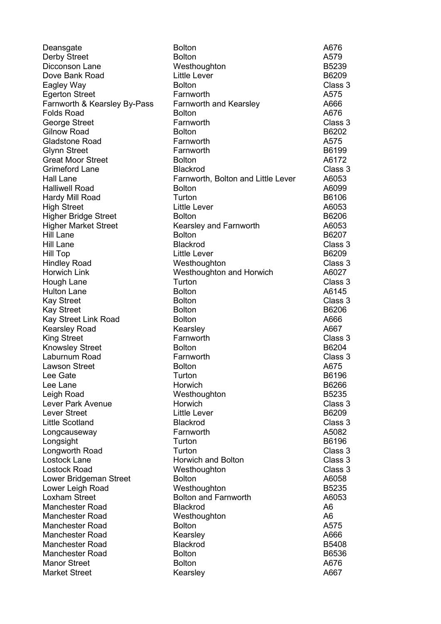Longworth Road

Deansgate Bolton A676 Derby Street Bolton A579 Dicconson Lane Westhoughton B5239 Dove Bank Road **Little Lever B6209** Eagley Way **Bolton** Bolton **Class 3** Egerton Street Farnworth A575 Farnworth & Kearsley By-Pass Farnworth and Kearsley Farnworth 3666 Folds Road Bolton A676 George Street **Farnworth** Farnworth Class 3 Gilnow Road **Bolton** Bolton Bolton B6202 Gladstone Road Farnworth A575 Glynn Street **Example 2018** Farnworth **B6199 B6199** Great Moor Street **Bolton** Bolton **A6172** Grimeford Lane **Blackrod** Blackrod Class 3 Hall Lane Farnworth, Bolton and Little Lever A6053 Halliwell Road **Bolton** Bolton **Bolton Bolton A6099** Hardy Mill Road Turton B6106 High Street **Little Lever** Controller Letter A6053 Higher Bridge Street Bolton B6206 Higher Market Street Kearsley and Farnworth A6053 Hill Lane Bolton Bolton Bolton B6207 Hill Lane Blackrod Class 3 Hill Top Little Lever B6209 Hindley Road **Westhoughton** Westhoughton Horwich Link Westhoughton and Horwich A6027 Hough Lane Turton Class 3 Hulton Lane **Bolton** Bolton **A6145** Kay Street **Bolton** Bolton Class 3 Kay Street **Bolton** Bolton Bolton B6206 Kay Street Link Road **Bolton** Bolton **A666** Kearsley Road Kearsley A667 King Street Farnworth Class 3 Knowsley Street **Bolton** Bolton Bolton B6204 Laburnum Road Farnworth Class 3 Lawson Street **Bolton** Bolton **Bolton** A675 Lee Gate **Cancelle Contract Contract Contract Contract Contract Contract Contract Contract Contract Contract Contract Contract Contract Contract Contract Contract Contract Contract Contract Contract Contract Contract Contr** Lee Lane **B6266** B6266 Leigh Road Westhoughton B5235 Lever Park Avenue Horwich Class 3 Little Lever Charles And Little Lever Charles And the B6209 Little Scotland Blackrod Class 3 Longcauseway **Farnworth** Farnworth A5082 Longsight Turton B6196 Lostock Lane Horwich and Bolton Class 3 Lostock Road **Mesthoughton** Westhoughton Class 3 Lower Bridgeman Street **Bolton** Bolton **A6058** Lower Leigh Road Westhoughton B5235 Loxham Street Bolton and Farnworth A6053 Manchester Road Blackrod A6 Manchester Road Westhoughton A6 Manchester Road Bolton **Bolton** Bolton A575 Manchester Road Kearsley A666 Manchester Road Blackrod B5408 Manchester Road Bolton B6536 Manor Street **Bolton** Bolton **Bolton** A676 Market Street **A667** Kearsley **A667** Kearsley A667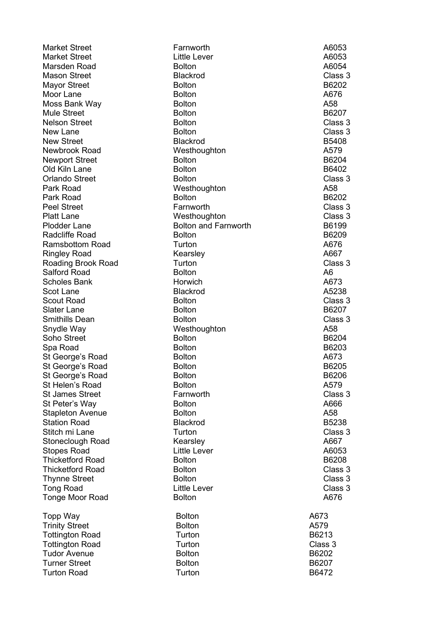Market Street **Farnworth Farnworth** A6053 Market Street **Little Lever** Little Lever **A6053** Marsden Road and Bolton Bolton A6054 Mason Street **Class 3** Blackrod **Class 3** Mayor Street **Bolton** Bolton Bolton B6202 Moor Lane **Bolton** Bolton **Bolton Bolton** A676 Moss Bank Way **Bolton** Bolton **A58** Mule Street **Bolton** Bolton Bolton B6207 Nelson Street **Bolton** Bolton Class 3 New Lane **Bolton** Bolton Class 3 New Street Blackrod B5408 Newbrook Road Westhoughton A579 Newport Street **Bolton** Bolton B6204 Old Kiln Lane **Bolton** Bolton Bolton B6402 Orlando Street Bolton Class 3 Park Road **Mesthoughton** Westhoughton A58 Park Road **Bolton** Bolton Bolton B6202 Peel Street **Farnworth** Farnworth Class 3 Platt Lane Westhoughton Class 3 Plodder Lane **Bolton and Farnworth** B6199 Radcliffe Road **Bolton** Bolton B6209 Ramsbottom Road Turton A676 Ringley Road **Kearsley A667** A667 Roading Brook Road **Turton Class 3** Salford Road Bolton A6 Scholes Bank **Horwich** Scot Lane **Blackrod** Blackrod **A5238** Scout Road **Bolton** Bolton **Bolton Bolton Bolton Bolton Class 3** Slater Lane Bolton Bolton Bolton B6207 Smithills Dean **Bolton** Bolton **Class 3** Snydle Way **Mesthoughton A58** Soho Street **Bolton** Bolton B6204 Spa Road Bolton B6203 St George's Road **Bolton** Bolton **Bolton Bolton Bolton A673** St George's Road **Bolton** Bolton B6205 St George's Road **Bolton** Bolton B6206 St Helen's Road **Bolton** Bolton **Bolton** A579 St James Street Farnworth Class 3 St Peter's Way **Bolton** Bolton **Bolton** A666 Stapleton Avenue Bolton A58 Station Road Blackrod B5238 Stitch mi Lane **Turton** Class 3 Stoneclough Road Kearsley A667 Stopes Road Thicketford Road Bolton B6208 Thicketford Road **Bolton** Bolton Class 3 Thynne Street **Bolton** Bolton **Class 3** Tong Road **Class 3** Little Lever **Class 3** Tonge Moor Road **Bolton** Bolton **Bolton** A676 Topp Way **Bolton** Bolton **A673** Trinity Street **Bolton** Bolton **A579** Tottington Road **Turton Turton B6213** Tottington Road Turton Class 3

Tudor Avenue Bolton B6202 Turner Street **Bolton** Bolton Bolton B6207

Turton Road **Turton Turton B6472**